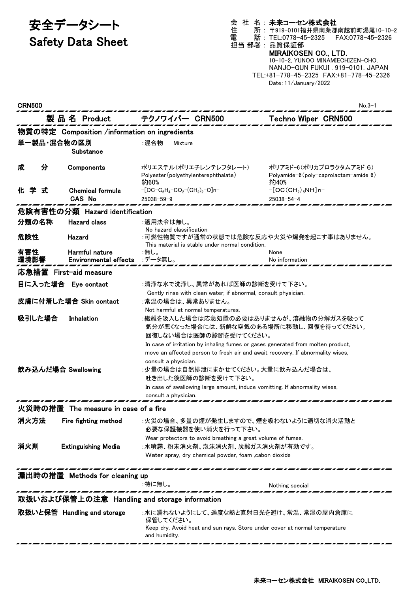# 安全データシート

## Safety Data Sheet

#### 会 社 名 : 未来コーセン株式会社

住 所 : 〒919-0101福井県南条郡南越前町湯尾10-10-2 電 話 : TEL:0778-45-2325 FAX:0778-45-2326

#### 担当 部署 : 品質保証部 MIRAIKOSEN CO., LTD.

10-10-2, YUNOO MINAMIECHIZEN-CHO, NANJO-GUN FUKUI . 919-0101. JAPAN TEL:+81-778-45-2325 FAX:+81-778-45-2326 Date:11/January/2022

| <b>CRN500</b>                                 |                                                |                                                                                                                                                                                                                                                                                                                                                                                        | No.3-1                                                                          |  |
|-----------------------------------------------|------------------------------------------------|----------------------------------------------------------------------------------------------------------------------------------------------------------------------------------------------------------------------------------------------------------------------------------------------------------------------------------------------------------------------------------------|---------------------------------------------------------------------------------|--|
|                                               | 製 品 名 Product                                  | テクノワイパー CRN500                                                                                                                                                                                                                                                                                                                                                                         | <b>Techno Wiper CRN500</b>                                                      |  |
|                                               | 物質の特定 Composition /information on ingredients  |                                                                                                                                                                                                                                                                                                                                                                                        |                                                                                 |  |
| 単一製品・混合物の区別                                   | Substance                                      | :混合物<br>Mixture                                                                                                                                                                                                                                                                                                                                                                        |                                                                                 |  |
| 分<br>成                                        | Components                                     | ポリエステル(ポリエチレンテレフタレート)<br>Polyester (polyethylenterephthalate)<br>約60%                                                                                                                                                                                                                                                                                                                  | ポリアミド-6(ポリカプロラクタムアミド 6)<br>Polyamide- $6$ (poly-caprolactam-amide $6$ )<br>約40% |  |
| 化学<br>式                                       | <b>Chemical formula</b><br>CAS No              | $-[OC-C_6H_4-CO_2-(CH_2)_2-O]n-$<br>$25038 - 59 - 9$                                                                                                                                                                                                                                                                                                                                   | $-[OC(CH2)5NH]n-$<br>25038-54-4                                                 |  |
|                                               | 危険有害性の分類 Hazard identification                 |                                                                                                                                                                                                                                                                                                                                                                                        |                                                                                 |  |
| 分類の名称                                         | <b>Hazard class</b>                            | :適用法令は無し。<br>No hazard classification                                                                                                                                                                                                                                                                                                                                                  |                                                                                 |  |
| 危険性                                           | Hazard                                         | :可燃性物質ですが通常の状態では危険な反応や火災や爆発を起こす事はありません。<br>This material is stable under normal condition.                                                                                                                                                                                                                                                                                             |                                                                                 |  |
| 有害性<br>環境影響                                   | Harmful nature<br><b>Environmental effects</b> | :無し。<br>:データ無し。                                                                                                                                                                                                                                                                                                                                                                        | None<br>No information                                                          |  |
|                                               | 応急措置 First-aid measure                         |                                                                                                                                                                                                                                                                                                                                                                                        |                                                                                 |  |
|                                               | 目に入った場合 Eye contact                            | :清浄な水で洗浄し、異常があれば医師の診断を受けて下さい。                                                                                                                                                                                                                                                                                                                                                          |                                                                                 |  |
|                                               | 皮膚に付着した場合 Skin contact                         | Gently rinse with clean water, if abnormal, consult physician.<br>:常温の場合は、異常ありません。<br>Not harmful at normal temperatures.                                                                                                                                                                                                                                                              |                                                                                 |  |
| 吸引した場合                                        | Inhalation                                     | :繊維を吸入した場合は応急処置の必要はありませんが、溶融物の分解ガスを吸って<br>気分が悪くなった場合には、新鮮な空気のある場所に移動し、回復を待ってください。                                                                                                                                                                                                                                                                                                      |                                                                                 |  |
| 飲み込んだ場合 Swallowing                            |                                                | 回復しない場合は医師の診断を受けてください。<br>In case of irritation by inhaling fumes or gases generated from molten product,<br>move an affected person to fresh air and await recovery. If abnormality wises,<br>consult a physician.<br>:少量の場合は自然排泄にまかせてください。大量に飲み込んだ場合は、<br>吐き出した後医師の診断を受けて下さい。<br>In case of swallowing large amount, induce vomitting. If abnormality wises,<br>consult a physician. |                                                                                 |  |
|                                               | 火災時の措置 The measure in case of a fire           |                                                                                                                                                                                                                                                                                                                                                                                        |                                                                                 |  |
| 消火方法                                          | Fire fighting method                           | :火災の場合、多量の煙が発生しますので、煙を吸わないように適切な消火活動と<br>必要な保護機器を使い消火を行って下さい。                                                                                                                                                                                                                                                                                                                          |                                                                                 |  |
| 消火剤                                           | <b>Extinguishing Media</b>                     | Wear protectors to avoid breathing a great volume of fumes.<br>:水噴霧、粉末消火剤、泡沫消火剤、炭酸ガス消火剤が有効です。<br>Water spray, dry chemical powder, foam , cabon dioxide                                                                                                                                                                                                                                |                                                                                 |  |
|                                               | 漏出時の措置 Methods for cleaning up                 |                                                                                                                                                                                                                                                                                                                                                                                        |                                                                                 |  |
|                                               |                                                | :特に無し。                                                                                                                                                                                                                                                                                                                                                                                 | Nothing special                                                                 |  |
| 取扱いおよび保管上の注意 Handling and storage information |                                                |                                                                                                                                                                                                                                                                                                                                                                                        |                                                                                 |  |
|                                               | 取扱いと保管 Handling and storage                    | :水に濡れないようにして、過度な熱と直射日光を避け、常温、常湿の屋内倉庫に<br>保管してください。<br>Keep dry. Avoid heat and sun rays. Store under cover at normal temperature<br>and humidity.                                                                                                                                                                                                                                      |                                                                                 |  |
|                                               |                                                |                                                                                                                                                                                                                                                                                                                                                                                        |                                                                                 |  |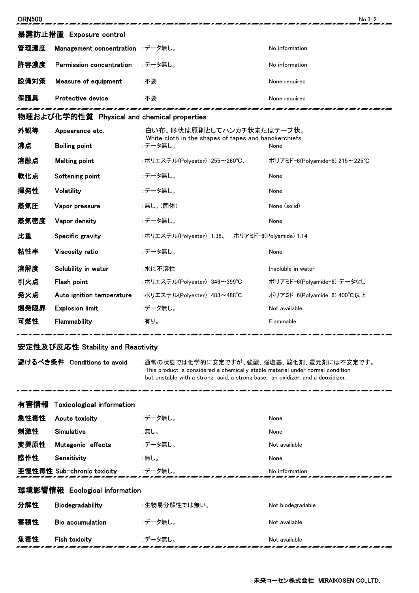| <b>CRN500</b>                            |                                             |                                                                                                                                                                                                              | $No.3-2$                      |  |  |
|------------------------------------------|---------------------------------------------|--------------------------------------------------------------------------------------------------------------------------------------------------------------------------------------------------------------|-------------------------------|--|--|
| 暴露防止措置 Exposure control                  |                                             |                                                                                                                                                                                                              |                               |  |  |
| 管理濃度                                     | Management concentration :データ無し。            |                                                                                                                                                                                                              | No information                |  |  |
| 許容濃度                                     | Permission concentration                    | :データ無し。                                                                                                                                                                                                      | No information                |  |  |
| 設備対策                                     | Measure of equipment                        | :不要                                                                                                                                                                                                          | None required                 |  |  |
| 保護具                                      | Protective device                           | :不要                                                                                                                                                                                                          | None required                 |  |  |
|                                          | 物理および化学的性質 Physical and chemical properties |                                                                                                                                                                                                              |                               |  |  |
| 外観等                                      | Appearance etc.                             | :白い布、形状は原則としてハンカチ状またはテープ状。<br>White cloth in the shapes of tapes and handkerchiefs.<br>:データ無し。<br>None                                                                                                       |                               |  |  |
| 沸点                                       | <b>Boiling point</b>                        |                                                                                                                                                                                                              |                               |  |  |
| 溶融点                                      | <b>Melting point</b>                        | :ポリエステル(Polyester) 255~260℃、                                                                                                                                                                                 | ポリアミド-6(Polyamide-6) 215~225℃ |  |  |
| 軟化点                                      | Softening point                             | :データ無し。                                                                                                                                                                                                      | None                          |  |  |
| 揮発性                                      | Volatility                                  | :データ無し。                                                                                                                                                                                                      | None                          |  |  |
| 蒸気圧                                      | Vapor pressure                              | :無し。(固体)                                                                                                                                                                                                     | None (solid)                  |  |  |
| 蒸気密度                                     | Vapor density                               | :データ無し。                                                                                                                                                                                                      | None                          |  |  |
| 比重                                       | Specific gravity                            | :ポリエステル(Polyester) 1.38、<br>ポリアミド-6(Polyamide) 1.14                                                                                                                                                          |                               |  |  |
| 粘性率                                      | Viscosity ratio                             | :データ無し。                                                                                                                                                                                                      | None                          |  |  |
| 溶解度                                      | Solubility in water                         | :水に不溶性                                                                                                                                                                                                       | Insoluble in water            |  |  |
| 引火点                                      | Flash point                                 | :ポリエステル(Polyester) 346~399℃                                                                                                                                                                                  | ポリアミド-6(Polyamide-6) データなし    |  |  |
| 発火点                                      | Auto ignition temperature                   | :ポリエステル(Polyester) 483~488℃                                                                                                                                                                                  | ポリアミド-6(Polyamide-6) 400°C以上  |  |  |
| 爆発限界                                     | <b>Explosion limit</b>                      | :データ無し。                                                                                                                                                                                                      | Not available                 |  |  |
| 可燃性                                      | Flammability                                | :有り。                                                                                                                                                                                                         | Flammable                     |  |  |
| 安定性及び反応性 Stability and Reactivity        |                                             |                                                                                                                                                                                                              |                               |  |  |
| 避けるべき条件 Conditions to avoid              |                                             | :通常の状態では化学的に安定ですが、強酸、強塩基、酸化剤、還元剤には不安定です。<br>This product is considered a chemically stable material under normal condition<br>but unstable with a strong acid, a strong base, an oxidizer, and a deoxidizer. |                               |  |  |
| <b>Toxicological information</b><br>有害情報 |                                             |                                                                                                                                                                                                              |                               |  |  |

| 急性毒性                          | Acute toxicity             | :データ無し。      | None              |  |
|-------------------------------|----------------------------|--------------|-------------------|--|
| 刺激性                           | Simulative                 | :無し。         | None              |  |
| 変異原性                          | Mutagenic effects          | :データ無し。      | Not available     |  |
| 感作性                           | Sensitivity                | :無し。         | None              |  |
|                               | 亜慢性毒性 Sub-chronic toxicity | :データ無し。      | No information    |  |
| 環境影響情報 Ecological information |                            |              |                   |  |
| 分解性                           | <b>Biodegradability</b>    | :生物易分解性では無い。 | Not biodegradable |  |
| 蓄積性                           | <b>Bio accumulation</b>    | :データ無し。      | Not available     |  |
| 魚毒性                           | <b>Fish toxicity</b>       | :データ無し。      | Not available     |  |